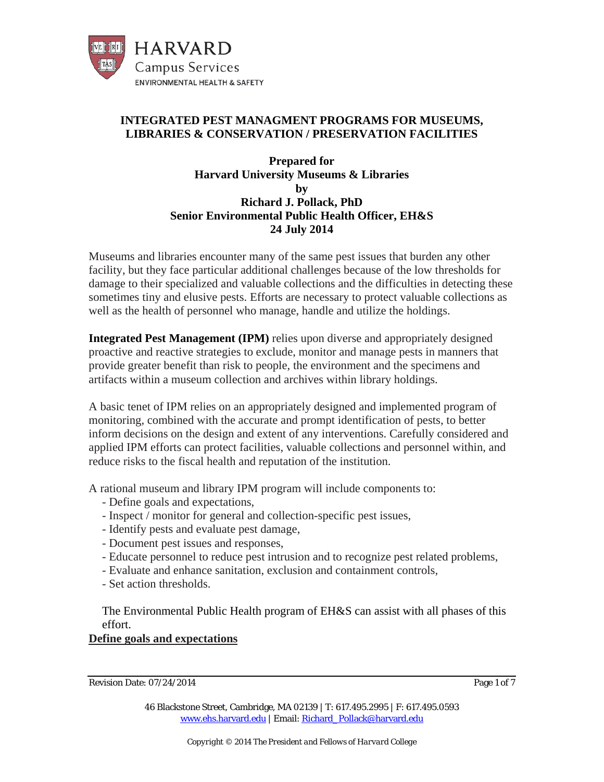

# **INTEGRATED PEST MANAGMENT PROGRAMS FOR MUSEUMS, LIBRARIES & CONSERVATION / PRESERVATION FACILITIES**

### **Prepared for Harvard University Museums & Libraries by Richard J. Pollack, PhD Senior Environmental Public Health Officer, EH&S 24 July 2014**

Museums and libraries encounter many of the same pest issues that burden any other facility, but they face particular additional challenges because of the low thresholds for damage to their specialized and valuable collections and the difficulties in detecting these sometimes tiny and elusive pests. Efforts are necessary to protect valuable collections as well as the health of personnel who manage, handle and utilize the holdings.

**Integrated Pest Management (IPM)** relies upon diverse and appropriately designed proactive and reactive strategies to exclude, monitor and manage pests in manners that provide greater benefit than risk to people, the environment and the specimens and artifacts within a museum collection and archives within library holdings.

A basic tenet of IPM relies on an appropriately designed and implemented program of monitoring, combined with the accurate and prompt identification of pests, to better inform decisions on the design and extent of any interventions. Carefully considered and applied IPM efforts can protect facilities, valuable collections and personnel within, and reduce risks to the fiscal health and reputation of the institution.

A rational museum and library IPM program will include components to:

- Define goals and expectations,
- Inspect / monitor for general and collection-specific pest issues,
- Identify pests and evaluate pest damage,
- Document pest issues and responses,
- Educate personnel to reduce pest intrusion and to recognize pest related problems,
- Evaluate and enhance sanitation, exclusion and containment controls,
- Set action thresholds.

The Environmental Public Health program of EH&S can assist with all phases of this effort.

#### **Define goals and expectations**

Revision Date: 07/24/2014 **Page 1 of 7** and 2012 **Page 1 of 7** and 2012 **Page 1 of 7** and 2012 **Page 1 of 7**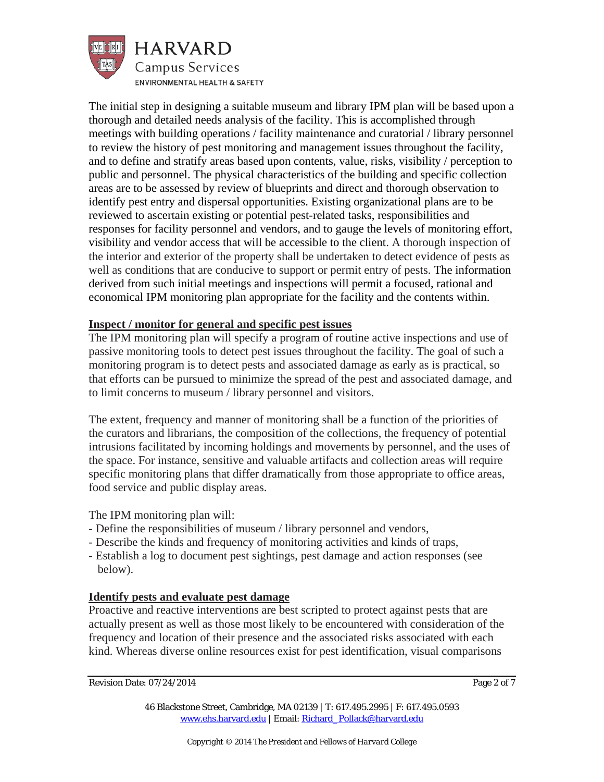

The initial step in designing a suitable museum and library IPM plan will be based upon a thorough and detailed needs analysis of the facility. This is accomplished through meetings with building operations / facility maintenance and curatorial / library personnel to review the history of pest monitoring and management issues throughout the facility, and to define and stratify areas based upon contents, value, risks, visibility / perception to public and personnel. The physical characteristics of the building and specific collection areas are to be assessed by review of blueprints and direct and thorough observation to identify pest entry and dispersal opportunities. Existing organizational plans are to be reviewed to ascertain existing or potential pest-related tasks, responsibilities and responses for facility personnel and vendors, and to gauge the levels of monitoring effort, visibility and vendor access that will be accessible to the client. A thorough inspection of the interior and exterior of the property shall be undertaken to detect evidence of pests as well as conditions that are conducive to support or permit entry of pests. The information derived from such initial meetings and inspections will permit a focused, rational and economical IPM monitoring plan appropriate for the facility and the contents within.

## **Inspect / monitor for general and specific pest issues**

The IPM monitoring plan will specify a program of routine active inspections and use of passive monitoring tools to detect pest issues throughout the facility. The goal of such a monitoring program is to detect pests and associated damage as early as is practical, so that efforts can be pursued to minimize the spread of the pest and associated damage, and to limit concerns to museum / library personnel and visitors.

The extent, frequency and manner of monitoring shall be a function of the priorities of the curators and librarians, the composition of the collections, the frequency of potential intrusions facilitated by incoming holdings and movements by personnel, and the uses of the space. For instance, sensitive and valuable artifacts and collection areas will require specific monitoring plans that differ dramatically from those appropriate to office areas, food service and public display areas.

The IPM monitoring plan will:

- Define the responsibilities of museum / library personnel and vendors,
- Describe the kinds and frequency of monitoring activities and kinds of traps,
- Establish a log to document pest sightings, pest damage and action responses (see below).

## **Identify pests and evaluate pest damage**

Proactive and reactive interventions are best scripted to protect against pests that are actually present as well as those most likely to be encountered with consideration of the frequency and location of their presence and the associated risks associated with each kind. Whereas diverse online resources exist for pest identification, visual comparisons

Revision Date: 07/24/2014 **Page 2 of 7**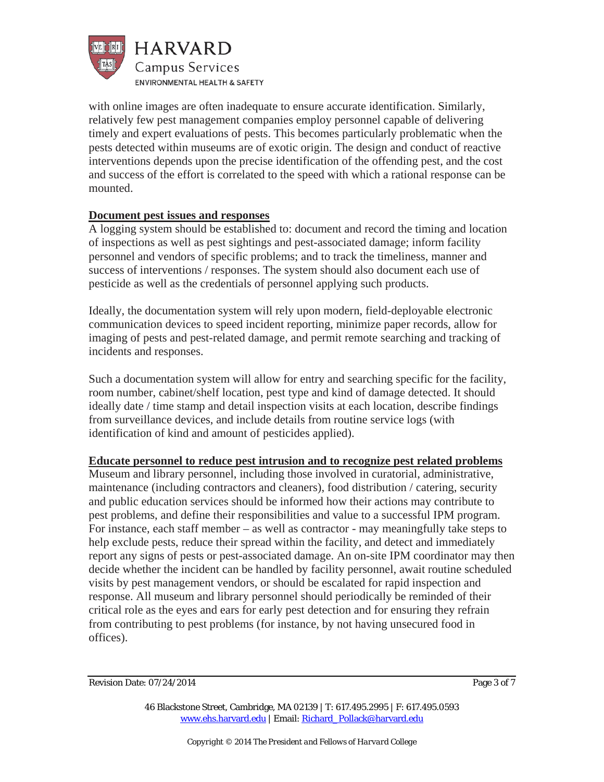

with online images are often inadequate to ensure accurate identification. Similarly, relatively few pest management companies employ personnel capable of delivering timely and expert evaluations of pests. This becomes particularly problematic when the pests detected within museums are of exotic origin. The design and conduct of reactive interventions depends upon the precise identification of the offending pest, and the cost and success of the effort is correlated to the speed with which a rational response can be mounted.

### **Document pest issues and responses**

A logging system should be established to: document and record the timing and location of inspections as well as pest sightings and pest-associated damage; inform facility personnel and vendors of specific problems; and to track the timeliness, manner and success of interventions / responses. The system should also document each use of pesticide as well as the credentials of personnel applying such products.

Ideally, the documentation system will rely upon modern, field-deployable electronic communication devices to speed incident reporting, minimize paper records, allow for imaging of pests and pest-related damage, and permit remote searching and tracking of incidents and responses.

Such a documentation system will allow for entry and searching specific for the facility, room number, cabinet/shelf location, pest type and kind of damage detected. It should ideally date / time stamp and detail inspection visits at each location, describe findings from surveillance devices, and include details from routine service logs (with identification of kind and amount of pesticides applied).

#### **Educate personnel to reduce pest intrusion and to recognize pest related problems**

Museum and library personnel, including those involved in curatorial, administrative, maintenance (including contractors and cleaners), food distribution / catering, security and public education services should be informed how their actions may contribute to pest problems, and define their responsibilities and value to a successful IPM program. For instance, each staff member – as well as contractor - may meaningfully take steps to help exclude pests, reduce their spread within the facility, and detect and immediately report any signs of pests or pest-associated damage. An on-site IPM coordinator may then decide whether the incident can be handled by facility personnel, await routine scheduled visits by pest management vendors, or should be escalated for rapid inspection and response. All museum and library personnel should periodically be reminded of their critical role as the eyes and ears for early pest detection and for ensuring they refrain from contributing to pest problems (for instance, by not having unsecured food in offices).

Revision Date: 07/24/2014 **Page 3 of 7**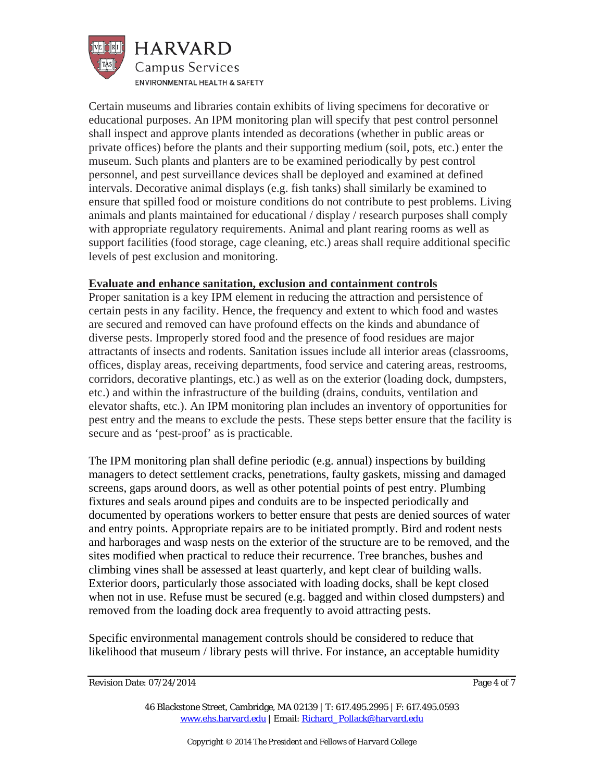

Certain museums and libraries contain exhibits of living specimens for decorative or educational purposes. An IPM monitoring plan will specify that pest control personnel shall inspect and approve plants intended as decorations (whether in public areas or private offices) before the plants and their supporting medium (soil, pots, etc.) enter the museum. Such plants and planters are to be examined periodically by pest control personnel, and pest surveillance devices shall be deployed and examined at defined intervals. Decorative animal displays (e.g. fish tanks) shall similarly be examined to ensure that spilled food or moisture conditions do not contribute to pest problems. Living animals and plants maintained for educational / display / research purposes shall comply with appropriate regulatory requirements. Animal and plant rearing rooms as well as support facilities (food storage, cage cleaning, etc.) areas shall require additional specific levels of pest exclusion and monitoring.

### **Evaluate and enhance sanitation, exclusion and containment controls**

Proper sanitation is a key IPM element in reducing the attraction and persistence of certain pests in any facility. Hence, the frequency and extent to which food and wastes are secured and removed can have profound effects on the kinds and abundance of diverse pests. Improperly stored food and the presence of food residues are major attractants of insects and rodents. Sanitation issues include all interior areas (classrooms, offices, display areas, receiving departments, food service and catering areas, restrooms, corridors, decorative plantings, etc.) as well as on the exterior (loading dock, dumpsters, etc.) and within the infrastructure of the building (drains, conduits, ventilation and elevator shafts, etc.). An IPM monitoring plan includes an inventory of opportunities for pest entry and the means to exclude the pests. These steps better ensure that the facility is secure and as 'pest-proof' as is practicable.

The IPM monitoring plan shall define periodic (e.g. annual) inspections by building managers to detect settlement cracks, penetrations, faulty gaskets, missing and damaged screens, gaps around doors, as well as other potential points of pest entry. Plumbing fixtures and seals around pipes and conduits are to be inspected periodically and documented by operations workers to better ensure that pests are denied sources of water and entry points. Appropriate repairs are to be initiated promptly. Bird and rodent nests and harborages and wasp nests on the exterior of the structure are to be removed, and the sites modified when practical to reduce their recurrence. Tree branches, bushes and climbing vines shall be assessed at least quarterly, and kept clear of building walls. Exterior doors, particularly those associated with loading docks, shall be kept closed when not in use. Refuse must be secured (e.g. bagged and within closed dumpsters) and removed from the loading dock area frequently to avoid attracting pests.

Specific environmental management controls should be considered to reduce that likelihood that museum / library pests will thrive. For instance, an acceptable humidity

Revision Date:  $07/24/2014$  Page 4 of 7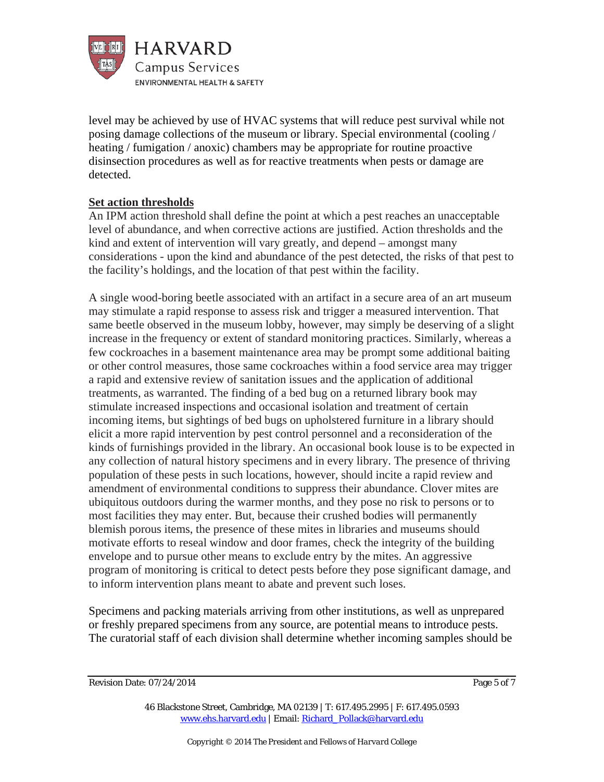

level may be achieved by use of HVAC systems that will reduce pest survival while not posing damage collections of the museum or library. Special environmental (cooling / heating / fumigation / anoxic) chambers may be appropriate for routine proactive disinsection procedures as well as for reactive treatments when pests or damage are detected.

## **Set action thresholds**

An IPM action threshold shall define the point at which a pest reaches an unacceptable level of abundance, and when corrective actions are justified. Action thresholds and the kind and extent of intervention will vary greatly, and depend – amongst many considerations - upon the kind and abundance of the pest detected, the risks of that pest to the facility's holdings, and the location of that pest within the facility.

A single wood-boring beetle associated with an artifact in a secure area of an art museum may stimulate a rapid response to assess risk and trigger a measured intervention. That same beetle observed in the museum lobby, however, may simply be deserving of a slight increase in the frequency or extent of standard monitoring practices. Similarly, whereas a few cockroaches in a basement maintenance area may be prompt some additional baiting or other control measures, those same cockroaches within a food service area may trigger a rapid and extensive review of sanitation issues and the application of additional treatments, as warranted. The finding of a bed bug on a returned library book may stimulate increased inspections and occasional isolation and treatment of certain incoming items, but sightings of bed bugs on upholstered furniture in a library should elicit a more rapid intervention by pest control personnel and a reconsideration of the kinds of furnishings provided in the library. An occasional book louse is to be expected in any collection of natural history specimens and in every library. The presence of thriving population of these pests in such locations, however, should incite a rapid review and amendment of environmental conditions to suppress their abundance. Clover mites are ubiquitous outdoors during the warmer months, and they pose no risk to persons or to most facilities they may enter. But, because their crushed bodies will permanently blemish porous items, the presence of these mites in libraries and museums should motivate efforts to reseal window and door frames, check the integrity of the building envelope and to pursue other means to exclude entry by the mites. An aggressive program of monitoring is critical to detect pests before they pose significant damage, and to inform intervention plans meant to abate and prevent such loses.

Specimens and packing materials arriving from other institutions, as well as unprepared or freshly prepared specimens from any source, are potential means to introduce pests. The curatorial staff of each division shall determine whether incoming samples should be

Revision Date: 07/24/2014 **Page 5 of 7** 

<sup>46</sup> Blackstone Street, Cambridge, MA 02139 | T: 617.495.2995 | F: 617.495.0593 [www.ehs.harvard.edu](http://www.ehs.harvard.edu/) | Email: [Richard\\_Pollack@harvard.edu](mailto:Richard_Pollack@harvard.edu)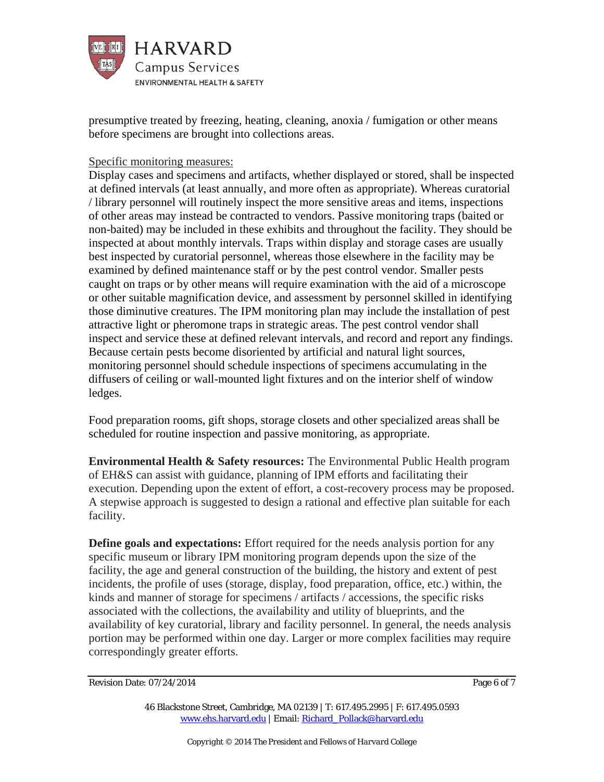

presumptive treated by freezing, heating, cleaning, anoxia / fumigation or other means before specimens are brought into collections areas.

#### Specific monitoring measures:

Display cases and specimens and artifacts, whether displayed or stored, shall be inspected at defined intervals (at least annually, and more often as appropriate). Whereas curatorial / library personnel will routinely inspect the more sensitive areas and items, inspections of other areas may instead be contracted to vendors. Passive monitoring traps (baited or non-baited) may be included in these exhibits and throughout the facility. They should be inspected at about monthly intervals. Traps within display and storage cases are usually best inspected by curatorial personnel, whereas those elsewhere in the facility may be examined by defined maintenance staff or by the pest control vendor. Smaller pests caught on traps or by other means will require examination with the aid of a microscope or other suitable magnification device, and assessment by personnel skilled in identifying those diminutive creatures. The IPM monitoring plan may include the installation of pest attractive light or pheromone traps in strategic areas. The pest control vendor shall inspect and service these at defined relevant intervals, and record and report any findings. Because certain pests become disoriented by artificial and natural light sources, monitoring personnel should schedule inspections of specimens accumulating in the diffusers of ceiling or wall-mounted light fixtures and on the interior shelf of window ledges.

Food preparation rooms, gift shops, storage closets and other specialized areas shall be scheduled for routine inspection and passive monitoring, as appropriate.

**Environmental Health & Safety resources:** The Environmental Public Health program of EH&S can assist with guidance, planning of IPM efforts and facilitating their execution. Depending upon the extent of effort, a cost-recovery process may be proposed. A stepwise approach is suggested to design a rational and effective plan suitable for each facility.

**Define goals and expectations:** Effort required for the needs analysis portion for any specific museum or library IPM monitoring program depends upon the size of the facility, the age and general construction of the building, the history and extent of pest incidents, the profile of uses (storage, display, food preparation, office, etc.) within, the kinds and manner of storage for specimens / artifacts / accessions, the specific risks associated with the collections, the availability and utility of blueprints, and the availability of key curatorial, library and facility personnel. In general, the needs analysis portion may be performed within one day. Larger or more complex facilities may require correspondingly greater efforts.

Revision Date: 07/24/2014 **Page 6 of 7**